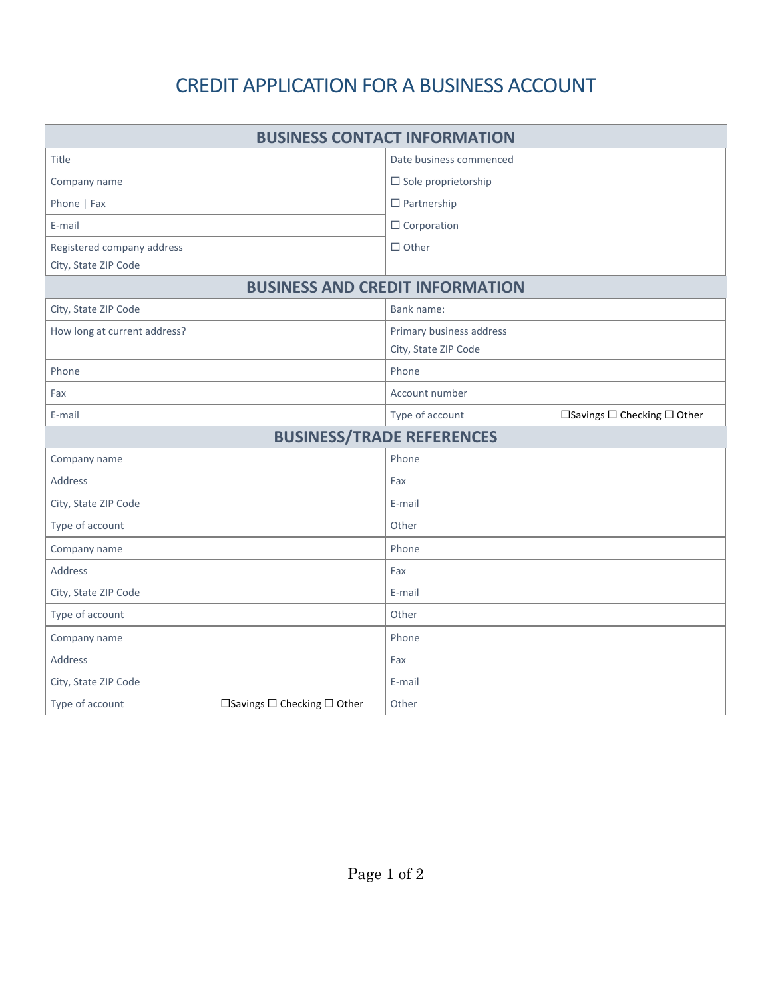## CREDIT APPLICATION FOR A BUSINESS ACCOUNT

| <b>BUSINESS CONTACT INFORMATION</b>                |                             |                                                  |                             |  |  |  |
|----------------------------------------------------|-----------------------------|--------------------------------------------------|-----------------------------|--|--|--|
| Title                                              |                             | Date business commenced                          |                             |  |  |  |
| Company name                                       |                             | $\square$ Sole proprietorship                    |                             |  |  |  |
| Phone   Fax                                        |                             | $\Box$ Partnership                               |                             |  |  |  |
| E-mail                                             |                             | $\Box$ Corporation                               |                             |  |  |  |
| Registered company address<br>City, State ZIP Code |                             | $\Box$ Other                                     |                             |  |  |  |
| <b>BUSINESS AND CREDIT INFORMATION</b>             |                             |                                                  |                             |  |  |  |
| City, State ZIP Code                               |                             | Bank name:                                       |                             |  |  |  |
| How long at current address?                       |                             | Primary business address<br>City, State ZIP Code |                             |  |  |  |
| Phone                                              |                             | Phone                                            |                             |  |  |  |
| Fax                                                |                             | Account number                                   |                             |  |  |  |
| E-mail                                             |                             | Type of account                                  | □Savings □ Checking □ Other |  |  |  |
| <b>BUSINESS/TRADE REFERENCES</b>                   |                             |                                                  |                             |  |  |  |
| Company name                                       |                             | Phone                                            |                             |  |  |  |
| <b>Address</b>                                     |                             | Fax                                              |                             |  |  |  |
| City, State ZIP Code                               |                             | E-mail                                           |                             |  |  |  |
| Type of account                                    |                             | Other                                            |                             |  |  |  |
| Company name                                       |                             | Phone                                            |                             |  |  |  |
| <b>Address</b>                                     |                             | Fax                                              |                             |  |  |  |
| City, State ZIP Code                               |                             | E-mail                                           |                             |  |  |  |
| Type of account                                    |                             | Other                                            |                             |  |  |  |
| Company name                                       |                             | Phone                                            |                             |  |  |  |
| Address                                            |                             | Fax                                              |                             |  |  |  |
| City, State ZIP Code                               |                             | E-mail                                           |                             |  |  |  |
| Type of account                                    | □Savings □ Checking □ Other | Other                                            |                             |  |  |  |